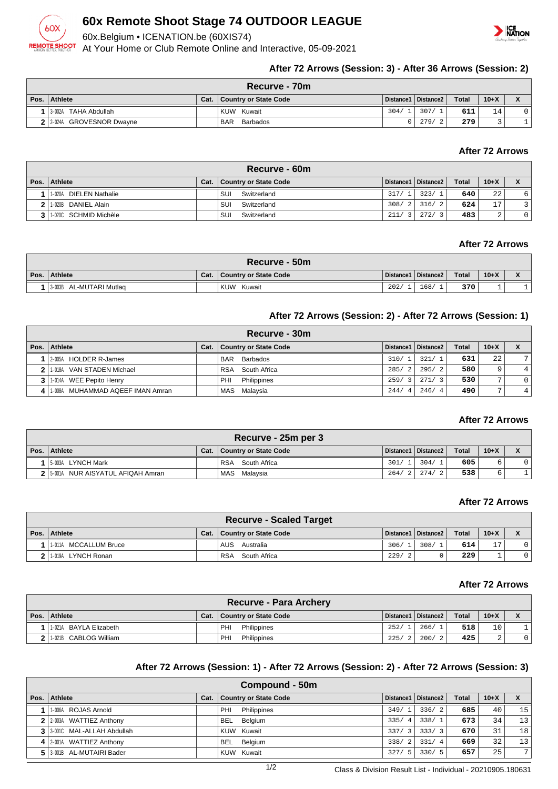

# **60x Remote Shoot Stage 74 OUTDOOR LEAGUE**

60x.Belgium • ICENATION.be (60XIS74)

At Your Home or Club Remote Online and Interactive, 05-09-2021



# **After 72 Arrows (Session: 3) - After 36 Arrows (Session: 2)**

| Recurve - 70m              |      |                        |      |                       |       |          |  |  |  |
|----------------------------|------|------------------------|------|-----------------------|-------|----------|--|--|--|
| Pos. Athlete               | Cat. | Country or State Code  |      | Distance1   Distance2 | Total | $10 + X$ |  |  |  |
| 13-002A TAHA Abdullah      |      | KUW Kuwait             | 304/ | 307/                  | 611   | 14       |  |  |  |
| 2 2 2024A GROVESNOR Dwayne |      | <b>BAR</b><br>Barbados |      | 279/                  | 279   |          |  |  |  |

# **After 72 Arrows**

| Recurve - 60m             |      |                       |       |                        |              |        |                |  |  |
|---------------------------|------|-----------------------|-------|------------------------|--------------|--------|----------------|--|--|
| Pos. Athlete              | Cat. | Country or State Code |       | ↓Distance1   Distance2 | <b>Total</b> | $10+X$ |                |  |  |
| DIELEN Nathalie<br>1-020A |      | SUI<br>Switzerland    | 317/1 | 323/                   | 640          | 22     | 6              |  |  |
| 2 1.020B DANIEL Alain     |      | SUI<br>Switzerland    | 308/2 | 316/2                  | 624          | 17     |                |  |  |
| 3   1-020C SCHMID Michèle |      | SUI<br>Switzerland    | 211/3 | 272/                   | 483          | ົ<br>▵ | 0 <sup>1</sup> |  |  |

### **After 72 Arrows**

|      | $\blacksquare$ Recurve - 50m $\blacksquare$ |      |                       |                       |      |       |        |  |  |  |
|------|---------------------------------------------|------|-----------------------|-----------------------|------|-------|--------|--|--|--|
| Pos. | Athlete                                     | Cat. | Country or State Code | Distance1   Distance2 |      | Total | $10+X$ |  |  |  |
|      | I 3-003B AL-MUTARI Mutlag                   |      | . Kuw<br>Kuwait       | 202/                  | 168/ | 370   |        |  |  |  |

### **After 72 Arrows (Session: 2) - After 72 Arrows (Session: 1)**

|      | Recurve - 30m                    |      |                              |                        |                       |       |              |   |  |  |
|------|----------------------------------|------|------------------------------|------------------------|-----------------------|-------|--------------|---|--|--|
| Pos. | <b>Athlete</b>                   | Cat. | <b>Country or State Code</b> |                        | Distance1   Distance2 | Total | $10+X$       |   |  |  |
|      | 2-005A HOLDER R-James            |      | Barbados<br><b>BAR</b>       | 310/<br>$\mathbf{1}$   | 321/1                 | 631   | 22           | ⇁ |  |  |
|      | VAN STADEN Michael<br>1-018A     |      | South Africa<br>RSA          | 285/<br>$\overline{2}$ | 295/2                 | 580   | 9            | 4 |  |  |
|      | 1-014A WEE Pepito Henry          |      | PHI<br>Philippines           | 259/<br>$\overline{3}$ | 271/3                 | 530   | 7            |   |  |  |
|      | 1-008A MUHAMMAD AQEEF IMAN Amran |      | MAS Malaysia                 | 244/<br>-4             | 246/4                 | 490   | $\mathbf{r}$ |   |  |  |

# **After 72 Arrows**

| Recurve - 25m per 3                |      |                            |            |                       |              |        |  |  |  |
|------------------------------------|------|----------------------------|------------|-----------------------|--------------|--------|--|--|--|
| Pos.   Athlete                     | Cat. | Country or State Code      |            | Distance1   Distance2 | <b>Total</b> | $10+X$ |  |  |  |
| 15-003A LYNCH Mark                 |      | <b>RSA</b><br>South Africa | 301/       | 304/                  | 605          |        |  |  |  |
| 2 5-001A NUR AISYATUL AFIQAH Amran |      | Malavsia<br>MAS            | 264/2 274/ | 2                     | 538          |        |  |  |  |

### **After 72 Arrows**

| <b>Recurve - Scaled Target</b> |      |                            |                       |      |              |                |    |  |  |
|--------------------------------|------|----------------------------|-----------------------|------|--------------|----------------|----|--|--|
| Pos. Athlete                   | Cat. | Country or State Code      | Distance1   Distance2 |      | <b>Total</b> | $10+X$         |    |  |  |
| 1-011A MCCALLUM Bruce          |      | AUS<br>Australia           | 306/1                 | 308/ | 614          | 7 <sub>7</sub> |    |  |  |
| 1-019A LYNCH Ronan             |      | <b>RSA</b><br>South Africa | 229/                  |      | 229          |                | 01 |  |  |

### **After 72 Arrows**

| <b>Recurve - Para Archery</b> |      |                       |       |                       |              |                 |  |  |  |
|-------------------------------|------|-----------------------|-------|-----------------------|--------------|-----------------|--|--|--|
| Pos. Athlete                  | Cat. | Country or State Code |       | Distance1   Distance2 | <b>Total</b> | $10+X$          |  |  |  |
| 1-021A BAYLA Elizabeth        |      | PHI<br>Philippines    | 252/1 | 266/1                 | 518          | 10 <sub>1</sub> |  |  |  |
| 2 1.021B CABLOG William       |      | PHI<br>Philippines    | 225/2 | 200/2                 | 425'         | $\sim$          |  |  |  |

# **After 72 Arrows (Session: 1) - After 72 Arrows (Session: 2) - After 72 Arrows (Session: 3)**

| Compound - 50m                |      |                       |                        |                       |              |        |    |  |  |
|-------------------------------|------|-----------------------|------------------------|-----------------------|--------------|--------|----|--|--|
| Pos. Athlete                  | Cat. | Country or State Code |                        | Distance1   Distance2 | <b>Total</b> | $10+X$ |    |  |  |
| 11-006A ROJAS Arnold          |      | Philippines<br>PHI    | 349/1                  | 336/2                 | 685          | 40     | 15 |  |  |
| 2 2-003A WATTIEZ Anthony      |      | Belgium<br>BEL        | 335/<br>$\overline{4}$ | 338/1                 | 673          | 34     | 13 |  |  |
| 3 3 3 0010 MAL-ALLAH Abdullah |      | KUW Kuwait            | 337/<br>$-3$ '         | 333/3                 | 670          | 31     | 18 |  |  |
| 4 2-001A WATTIEZ Anthony      |      | Belgium<br><b>BEL</b> | 338/<br>$\overline{2}$ | 331/4                 | 669          | 32     | 13 |  |  |
| 5 3001B AL-MUTAIRI Bader      |      | KUW Kuwait            | 327/<br>-5             | 330/5                 | 657          | 25     | 7  |  |  |